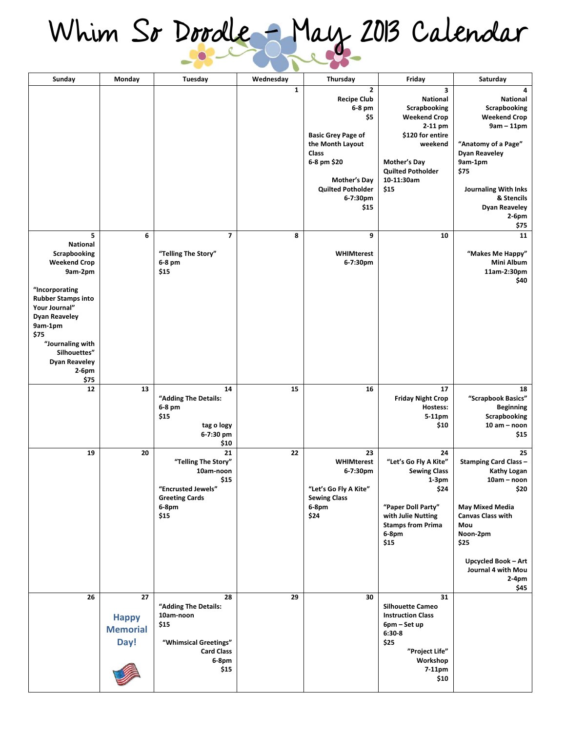## **Whim So Doodle - May 2013 Calendar**

| Sunday                                                                                                                                                                                                                                                     | Monday                                        | Tuesday                                                                                                        | Wednesday    | Thursday                                                                                                                                                                                            | Friday                                                                                                                                                                         | Saturday                                                                                                                                                                                                                            |
|------------------------------------------------------------------------------------------------------------------------------------------------------------------------------------------------------------------------------------------------------------|-----------------------------------------------|----------------------------------------------------------------------------------------------------------------|--------------|-----------------------------------------------------------------------------------------------------------------------------------------------------------------------------------------------------|--------------------------------------------------------------------------------------------------------------------------------------------------------------------------------|-------------------------------------------------------------------------------------------------------------------------------------------------------------------------------------------------------------------------------------|
|                                                                                                                                                                                                                                                            |                                               |                                                                                                                | $\mathbf{1}$ | $\mathbf{z}$<br><b>Recipe Club</b><br>6-8 pm<br>\$5<br><b>Basic Grey Page of</b><br>the Month Layout<br>Class<br>6-8 pm \$20<br><b>Mother's Day</b><br><b>Quilted Potholder</b><br>6-7:30pm<br>\$15 | 3<br><b>National</b><br>Scrapbooking<br><b>Weekend Crop</b><br>2-11 pm<br>\$120 for entire<br>weekend<br><b>Mother's Day</b><br><b>Quilted Potholder</b><br>10-11:30am<br>\$15 | 4<br><b>National</b><br>Scrapbooking<br><b>Weekend Crop</b><br>$9am - 11pm$<br>"Anatomy of a Page"<br><b>Dyan Reaveley</b><br>9am-1pm<br>\$75<br><b>Journaling With Inks</b><br>& Stencils<br><b>Dyan Reaveley</b><br>2-6pm<br>\$75 |
| 5<br>National<br>Scrapbooking<br><b>Weekend Crop</b><br>9am-2pm<br>"Incorporating<br><b>Rubber Stamps into</b><br>Your Journal"<br><b>Dyan Reaveley</b><br>9am-1pm<br>\$75<br>"Journaling with<br>Silhouettes"<br><b>Dyan Reaveley</b><br>$2-6$ pm<br>\$75 | 6                                             | 7<br>"Telling The Story"<br>6-8 pm<br>\$15                                                                     | 8            | 9<br>WHIMterest<br>6-7:30pm                                                                                                                                                                         | 10                                                                                                                                                                             | 11<br>"Makes Me Happy"<br>Mini Album<br>11am-2:30pm<br>\$40                                                                                                                                                                         |
| 12                                                                                                                                                                                                                                                         | 13                                            | 14<br>"Adding The Details:<br>6-8 pm<br>\$15<br>tag o logy<br>6-7:30 pm<br>\$10                                | 15           | 16                                                                                                                                                                                                  | 17<br><b>Friday Night Crop</b><br>Hostess:<br>5-11pm<br>\$10                                                                                                                   | 18<br>"Scrapbook Basics"<br><b>Beginning</b><br>Scrapbooking<br>$10 am - noon$<br>\$15                                                                                                                                              |
| 19                                                                                                                                                                                                                                                         | 20                                            | 21<br>"Telling The Story"<br>10am-noon<br>\$15<br>"Encrusted Jewels"<br><b>Greeting Cards</b><br>6-8pm<br>\$15 | 22           | 23<br><b>WHIMterest</b><br>6-7:30pm<br>"Let's Go Fly A Kite"<br><b>Sewing Class</b><br>6-8pm<br>\$24                                                                                                | 24<br>"Let's Go Fly A Kite"<br><b>Sewing Class</b><br>$1-3pm$<br>\$24<br>"Paper Doll Party"<br>with Julie Nutting<br><b>Stamps from Prima</b><br>$6-8$ pm<br>\$15              | 25<br><b>Stamping Card Class -</b><br>Kathy Logan<br>10am - noon<br>\$20<br><b>May Mixed Media</b><br><b>Canvas Class with</b><br>Mou<br>Noon-2pm<br>\$25<br>Upcycled Book - Art<br>Journal 4 with Mou<br>2-4pm<br>\$45             |
| 26                                                                                                                                                                                                                                                         | 27<br><b>Happy</b><br><b>Memorial</b><br>Day! | 28<br>"Adding The Details:<br>10am-noon<br>\$15<br>"Whimsical Greetings"<br><b>Card Class</b><br>6-8pm<br>\$15 | 29           | 30                                                                                                                                                                                                  | 31<br><b>Silhouette Cameo</b><br><b>Instruction Class</b><br>6pm – Set up<br>$6:30-8$<br>\$25<br>"Project Life"<br>Workshop<br>7-11pm<br>\$10                                  |                                                                                                                                                                                                                                     |